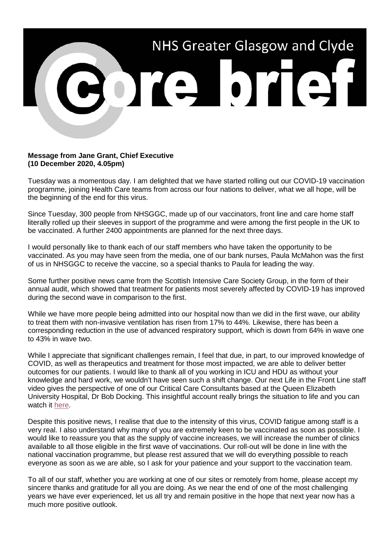

## **Message from Jane Grant, Chief Executive (10 December 2020, 4.05pm)**

Tuesday was a momentous day. I am delighted that we have started rolling out our COVID-19 vaccination programme, joining Health Care teams from across our four nations to deliver, what we all hope, will be the beginning of the end for this virus.

Since Tuesday, 300 people from NHSGGC, made up of our vaccinators, front line and care home staff literally rolled up their sleeves in support of the programme and were among the first people in the UK to be vaccinated. A further 2400 appointments are planned for the next three days.

I would personally like to thank each of our staff members who have taken the opportunity to be vaccinated. As you may have seen from the media, one of our bank nurses, Paula McMahon was the first of us in NHSGGC to receive the vaccine, so a special thanks to Paula for leading the way.

Some further positive news came from the Scottish Intensive Care Society Group, in the form of their annual audit, which showed that treatment for patients most severely affected by COVID-19 has improved during the second wave in comparison to the first.

While we have more people being admitted into our hospital now than we did in the first wave, our ability to treat them with non-invasive ventilation has risen from 17% to 44%. Likewise, there has been a corresponding reduction in the use of advanced respiratory support, which is down from 64% in wave one to 43% in wave two.

While I appreciate that significant challenges remain, I feel that due, in part, to our improved knowledge of COVID, as well as therapeutics and treatment for those most impacted, we are able to deliver better outcomes for our patients. I would like to thank all of you working in ICU and HDU as without your knowledge and hard work, we wouldn't have seen such a shift change. Our next Life in the Front Line staff video gives the perspective of one of our Critical Care Consultants based at the Queen Elizabeth University Hospital, Dr Bob Docking. This insightful account really brings the situation to life and you can watch it [here.](https://www.youtube.com/watch?v=aQXrQjxc5qw)

Despite this positive news, I realise that due to the intensity of this virus, COVID fatigue among staff is a very real. I also understand why many of you are extremely keen to be vaccinated as soon as possible. I would like to reassure you that as the supply of vaccine increases, we will increase the number of clinics available to all those eligible in the first wave of vaccinations. Our roll-out will be done in line with the national vaccination programme, but please rest assured that we will do everything possible to reach everyone as soon as we are able, so I ask for your patience and your support to the vaccination team.

To all of our staff, whether you are working at one of our sites or remotely from home, please accept my sincere thanks and gratitude for all you are doing. As we near the end of one of the most challenging years we have ever experienced, let us all try and remain positive in the hope that next year now has a much more positive outlook.